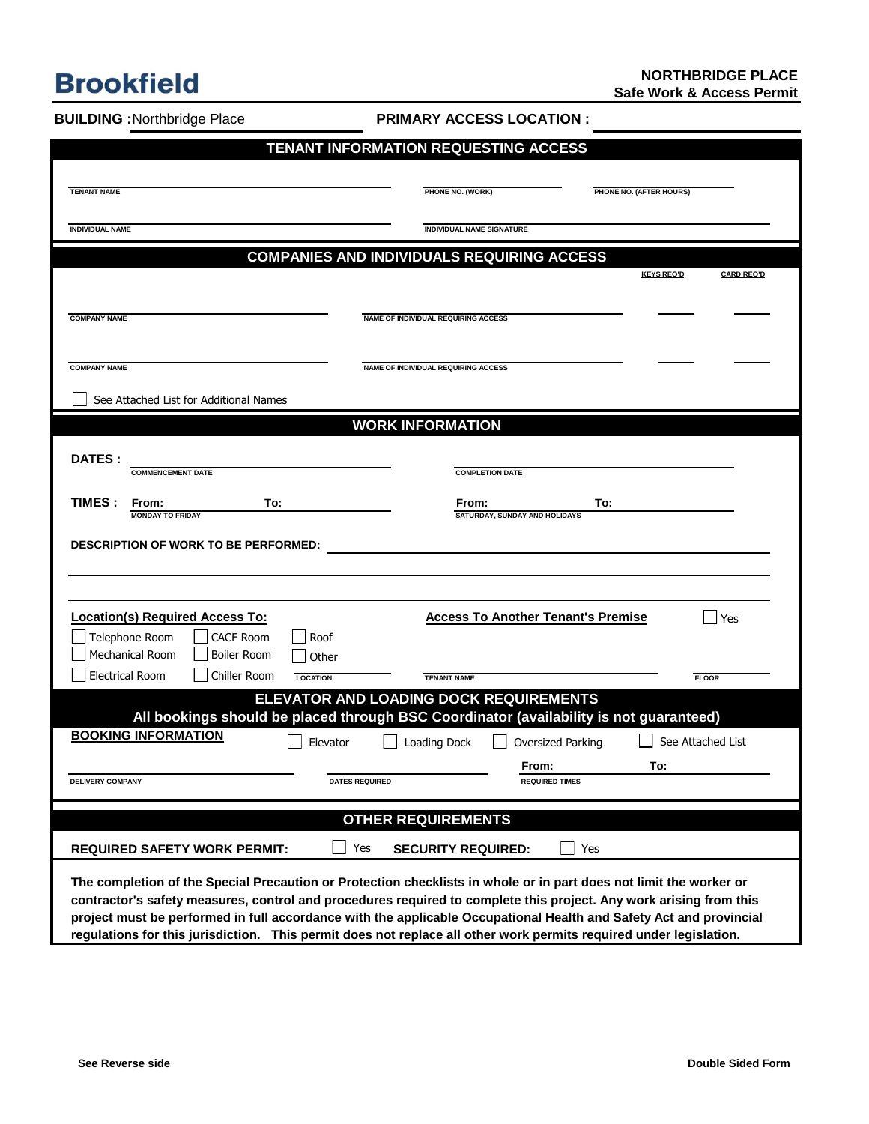## **Brookfield**

**BUILDING :**Northbridge Place

**PRIMARY ACCESS LOCATION :**

| TENANT INFORMATION REQUESTING ACCESS                                                                               |                                                           |                                            |                                |                                        |  |
|--------------------------------------------------------------------------------------------------------------------|-----------------------------------------------------------|--------------------------------------------|--------------------------------|----------------------------------------|--|
|                                                                                                                    |                                                           |                                            |                                |                                        |  |
| <b>TENANT NAME</b>                                                                                                 |                                                           | PHONE NO. (WORK)                           |                                | PHONE NO. (AFTER HOURS)                |  |
| <b>INDIVIDUAL NAME</b>                                                                                             |                                                           | <b>INDIVIDUAL NAME SIGNATURE</b>           |                                |                                        |  |
| <b>COMPANIES AND INDIVIDUALS REQUIRING ACCESS</b>                                                                  |                                                           |                                            |                                |                                        |  |
|                                                                                                                    |                                                           |                                            |                                | <b>KEYS REQ'D</b><br><b>CARD REQ'D</b> |  |
| <b>COMPANY NAME</b>                                                                                                |                                                           | <b>NAME OF INDIVIDUAL REQUIRING ACCESS</b> |                                |                                        |  |
|                                                                                                                    |                                                           |                                            |                                |                                        |  |
| <b>COMPANY NAME</b>                                                                                                |                                                           | NAME OF INDIVIDUAL REQUIRING ACCESS        |                                |                                        |  |
| See Attached List for Additional Names                                                                             |                                                           |                                            |                                |                                        |  |
|                                                                                                                    |                                                           | <b>WORK INFORMATION</b>                    |                                |                                        |  |
|                                                                                                                    |                                                           |                                            |                                |                                        |  |
| <b>DATES:</b><br><b>COMMENCEMENT DATE</b>                                                                          |                                                           | <b>COMPLETION DATE</b>                     |                                |                                        |  |
| <b>TIMES :</b><br>From:                                                                                            | To:                                                       | From:                                      | To:                            |                                        |  |
| <b>MONDAY TO FRIDAY</b>                                                                                            |                                                           | SATURDAY, SUNDAY AND HOLIDAYS              |                                |                                        |  |
| <b>DESCRIPTION OF WORK TO BE PERFORMED:</b>                                                                        |                                                           |                                            |                                |                                        |  |
|                                                                                                                    |                                                           |                                            |                                |                                        |  |
| Location(s) Required Access To:                                                                                    |                                                           | <b>Access To Another Tenant's Premise</b>  |                                | Yes                                    |  |
| Telephone Room<br><b>CACF Room</b>                                                                                 | Roof                                                      |                                            |                                |                                        |  |
| <b>Mechanical Room</b><br><b>Boiler Room</b><br><b>Electrical Room</b><br>Chiller Room                             | Other                                                     |                                            |                                |                                        |  |
|                                                                                                                    | <b>LOCATION</b><br>ELEVATOR AND LOADING DOCK REQUIREMENTS | <b>TENANT NAME</b>                         |                                | <b>FLOOR</b>                           |  |
| All bookings should be placed through BSC Coordinator (availability is not guaranteed)                             |                                                           |                                            |                                |                                        |  |
| <b>BOOKING INFORMATION</b>                                                                                         | Elevator                                                  | Loading Dock                               | Oversized Parking              | See Attached List                      |  |
| <b>DELIVERY COMPANY</b>                                                                                            | <b>DATES REQUIRED</b>                                     |                                            | From:<br><b>REQUIRED TIMES</b> | To:                                    |  |
|                                                                                                                    |                                                           |                                            |                                |                                        |  |
| <b>OTHER REQUIREMENTS</b>                                                                                          |                                                           |                                            |                                |                                        |  |
|                                                                                                                    | Yes                                                       | <b>SECURITY REQUIRED:</b>                  | Yes                            |                                        |  |
| <b>REQUIRED SAFETY WORK PERMIT:</b>                                                                                |                                                           |                                            |                                |                                        |  |
| The completion of the Special Precaution or Protection checklists in whole or in part does not limit the worker or |                                                           |                                            |                                |                                        |  |

**regulations for this jurisdiction. This permit does not replace all other work permits required under legislation.**